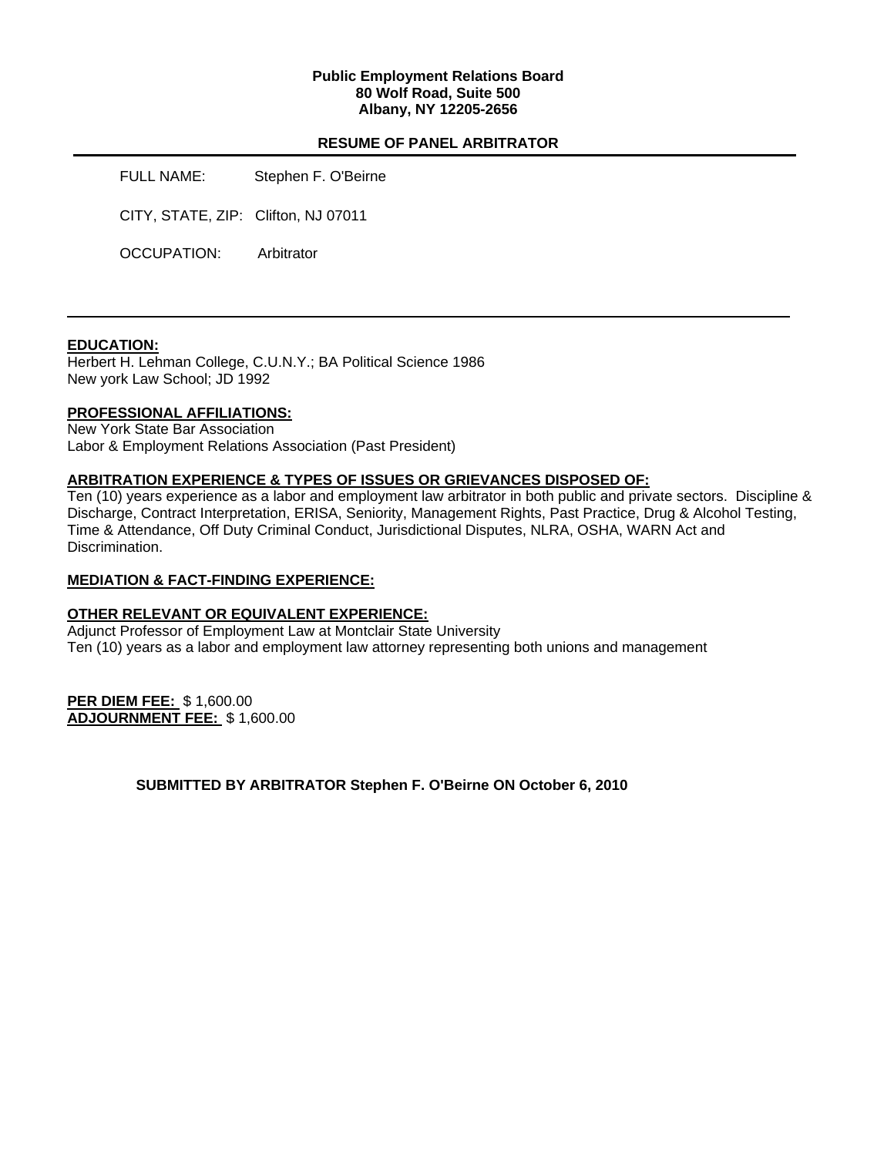### **Public Employment Relations Board 80 Wolf Road, Suite 500 Albany, NY 12205-2656**

## **RESUME OF PANEL ARBITRATOR**

FULL NAME: Stephen F. O'Beirne

CITY, STATE, ZIP: Clifton, NJ 07011

OCCUPATION: Arbitrator

### **EDUCATION:**

Herbert H. Lehman College, C.U.N.Y.; BA Political Science 1986 New york Law School; JD 1992

### **PROFESSIONAL AFFILIATIONS:**

New York State Bar Association Labor & Employment Relations Association (Past President)

#### **ARBITRATION EXPERIENCE & TYPES OF ISSUES OR GRIEVANCES DISPOSED OF:**

Ten (10) years experience as a labor and employment law arbitrator in both public and private sectors. Discipline & Discharge, Contract Interpretation, ERISA, Seniority, Management Rights, Past Practice, Drug & Alcohol Testing, Time & Attendance, Off Duty Criminal Conduct, Jurisdictional Disputes, NLRA, OSHA, WARN Act and Discrimination.

#### **MEDIATION & FACT-FINDING EXPERIENCE:**

### **OTHER RELEVANT OR EQUIVALENT EXPERIENCE:**

Adjunct Professor of Employment Law at Montclair State University Ten (10) years as a labor and employment law attorney representing both unions and management

**PER DIEM FEE:** \$ 1,600.00 **ADJOURNMENT FEE:** \$ 1,600.00

**SUBMITTED BY ARBITRATOR Stephen F. O'Beirne ON October 6, 2010**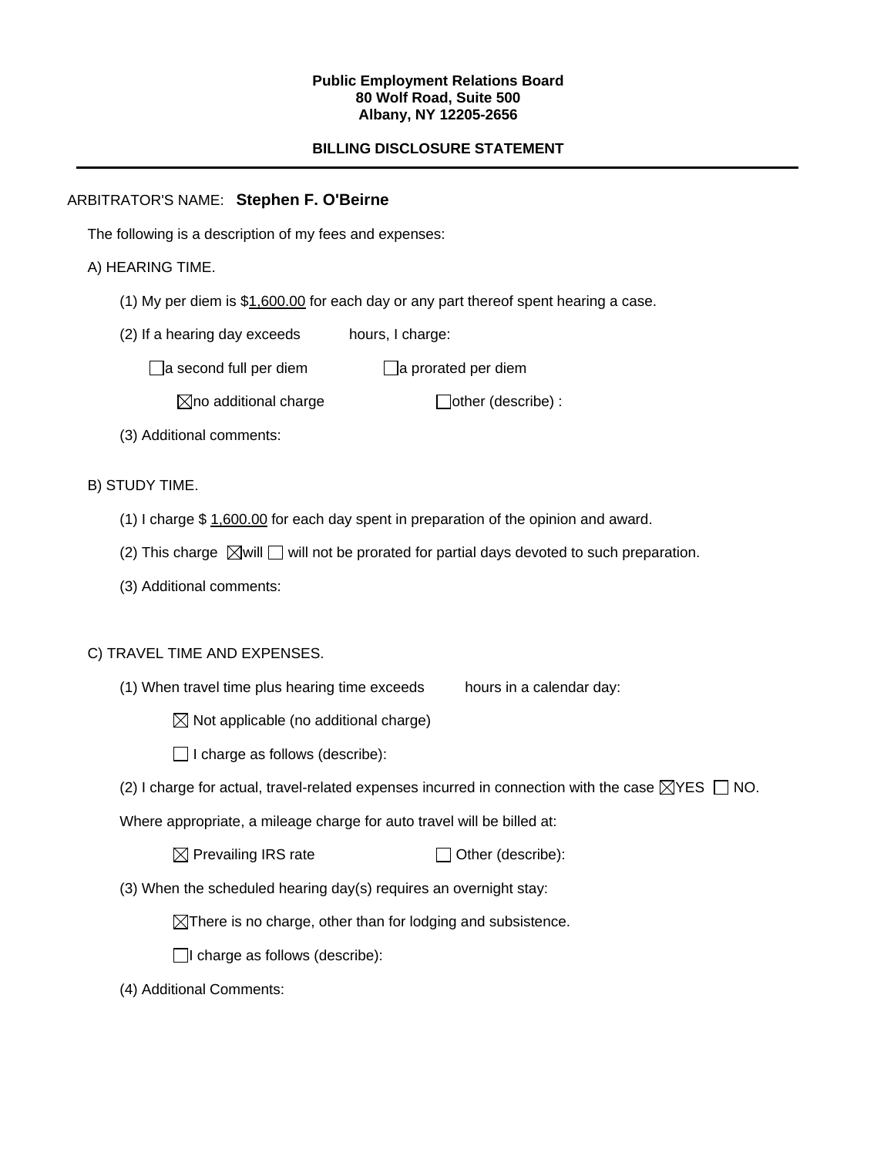#### **Public Employment Relations Board 80 Wolf Road, Suite 500 Albany, NY 12205-2656**

# **BILLING DISCLOSURE STATEMENT**

# ARBITRATOR'S NAME: **Stephen F. O'Beirne**

The following is a description of my fees and expenses:

# A) HEARING TIME.

- (1) My per diem is \$1,600.00 for each day or any part thereof spent hearing a case.
- (2) If a hearing day exceeds hours, I charge:

 $\Box$ a second full per diem  $\Box$ a prorated per diem

 $\boxtimes$ no additional charge  $\Box$ other (describe) :

(3) Additional comments:

B) STUDY TIME.

- (1) I charge \$ 1,600.00 for each day spent in preparation of the opinion and award.
- (2) This charge  $\boxtimes$  will  $\Box$  will not be prorated for partial days devoted to such preparation.
- (3) Additional comments:

# C) TRAVEL TIME AND EXPENSES.

- (1) When travel time plus hearing time exceeds hours in a calendar day:
	- $\boxtimes$  Not applicable (no additional charge)
	- $\Box$  I charge as follows (describe):
- (2) I charge for actual, travel-related expenses incurred in connection with the case  $\boxtimes$ YES  $\Box$  NO.

Where appropriate, a mileage charge for auto travel will be billed at:

| $\boxtimes$ Prevailing IRS rate | $\Box$ Other (describe): |
|---------------------------------|--------------------------|
|---------------------------------|--------------------------|

(3) When the scheduled hearing day(s) requires an overnight stay:

 $\boxtimes$ There is no charge, other than for lodging and subsistence.

 $\Box$ I charge as follows (describe):

(4) Additional Comments: